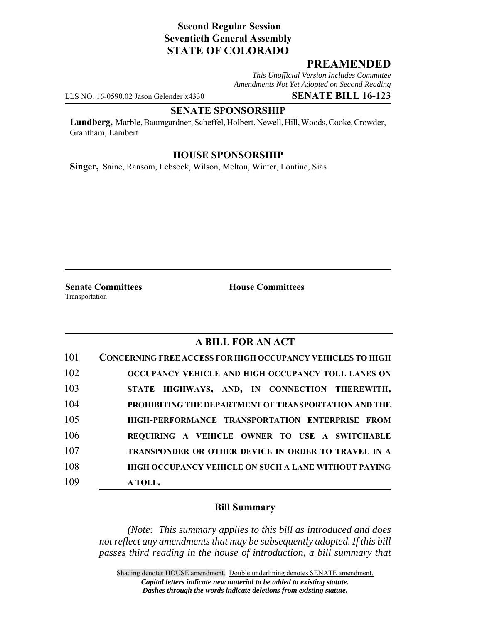# **Second Regular Session Seventieth General Assembly STATE OF COLORADO**

## **PREAMENDED**

*This Unofficial Version Includes Committee Amendments Not Yet Adopted on Second Reading*

LLS NO. 16-0590.02 Jason Gelender x4330 **SENATE BILL 16-123**

### **SENATE SPONSORSHIP**

**Lundberg,** Marble, Baumgardner, Scheffel, Holbert, Newell, Hill, Woods, Cooke, Crowder, Grantham, Lambert

### **HOUSE SPONSORSHIP**

**Singer,** Saine, Ransom, Lebsock, Wilson, Melton, Winter, Lontine, Sias

Transportation

**Senate Committees House Committees** 

## **A BILL FOR AN ACT**

| 101 | <b>CONCERNING FREE ACCESS FOR HIGH OCCUPANCY VEHICLES TO HIGH</b> |
|-----|-------------------------------------------------------------------|
| 102 | OCCUPANCY VEHICLE AND HIGH OCCUPANCY TOLL LANES ON                |
| 103 | STATE HIGHWAYS, AND, IN CONNECTION THEREWITH,                     |
| 104 | PROHIBITING THE DEPARTMENT OF TRANSPORTATION AND THE              |
| 105 | HIGH-PERFORMANCE TRANSPORTATION ENTERPRISE FROM                   |
| 106 | REQUIRING A VEHICLE OWNER TO USE A SWITCHABLE                     |
| 107 | TRANSPONDER OR OTHER DEVICE IN ORDER TO TRAVEL IN A               |
| 108 | <b>HIGH OCCUPANCY VEHICLE ON SUCH A LANE WITHOUT PAYING</b>       |
| 109 | A TOLL.                                                           |

#### **Bill Summary**

*(Note: This summary applies to this bill as introduced and does not reflect any amendments that may be subsequently adopted. If this bill passes third reading in the house of introduction, a bill summary that*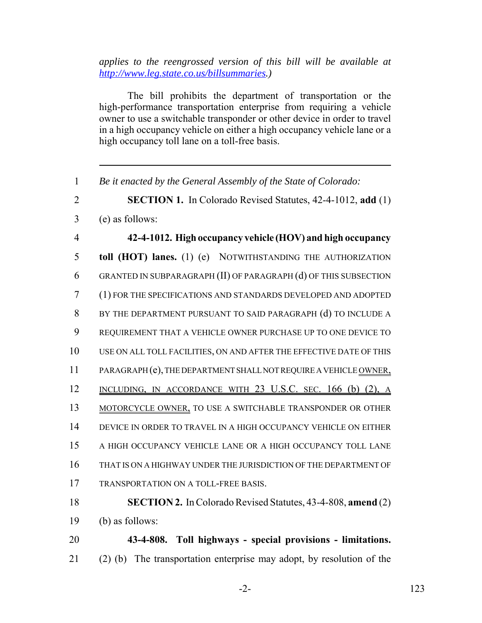*applies to the reengrossed version of this bill will be available at http://www.leg.state.co.us/billsummaries.)*

The bill prohibits the department of transportation or the high-performance transportation enterprise from requiring a vehicle owner to use a switchable transponder or other device in order to travel in a high occupancy vehicle on either a high occupancy vehicle lane or a high occupancy toll lane on a toll-free basis.

*Be it enacted by the General Assembly of the State of Colorado:*

**SECTION 1.** In Colorado Revised Statutes, 42-4-1012, **add** (1)

(e) as follows:

 **42-4-1012. High occupancy vehicle (HOV) and high occupancy toll (HOT) lanes.** (1) (e) NOTWITHSTANDING THE AUTHORIZATION GRANTED IN SUBPARAGRAPH (II) OF PARAGRAPH (d) OF THIS SUBSECTION (1) FOR THE SPECIFICATIONS AND STANDARDS DEVELOPED AND ADOPTED BY THE DEPARTMENT PURSUANT TO SAID PARAGRAPH (d) TO INCLUDE A REQUIREMENT THAT A VEHICLE OWNER PURCHASE UP TO ONE DEVICE TO USE ON ALL TOLL FACILITIES, ON AND AFTER THE EFFECTIVE DATE OF THIS 11 PARAGRAPH (e), THE DEPARTMENT SHALL NOT REQUIRE A VEHICLE OWNER, 12 INCLUDING, IN ACCORDANCE WITH 23 U.S.C. SEC. 166 (b) (2), A 13 MOTORCYCLE OWNER, TO USE A SWITCHABLE TRANSPONDER OR OTHER DEVICE IN ORDER TO TRAVEL IN A HIGH OCCUPANCY VEHICLE ON EITHER A HIGH OCCUPANCY VEHICLE LANE OR A HIGH OCCUPANCY TOLL LANE THAT IS ON A HIGHWAY UNDER THE JURISDICTION OF THE DEPARTMENT OF TRANSPORTATION ON A TOLL-FREE BASIS. **SECTION 2.** In Colorado Revised Statutes, 43-4-808, **amend** (2)

(b) as follows:

 **43-4-808. Toll highways - special provisions - limitations.** (2) (b) The transportation enterprise may adopt, by resolution of the